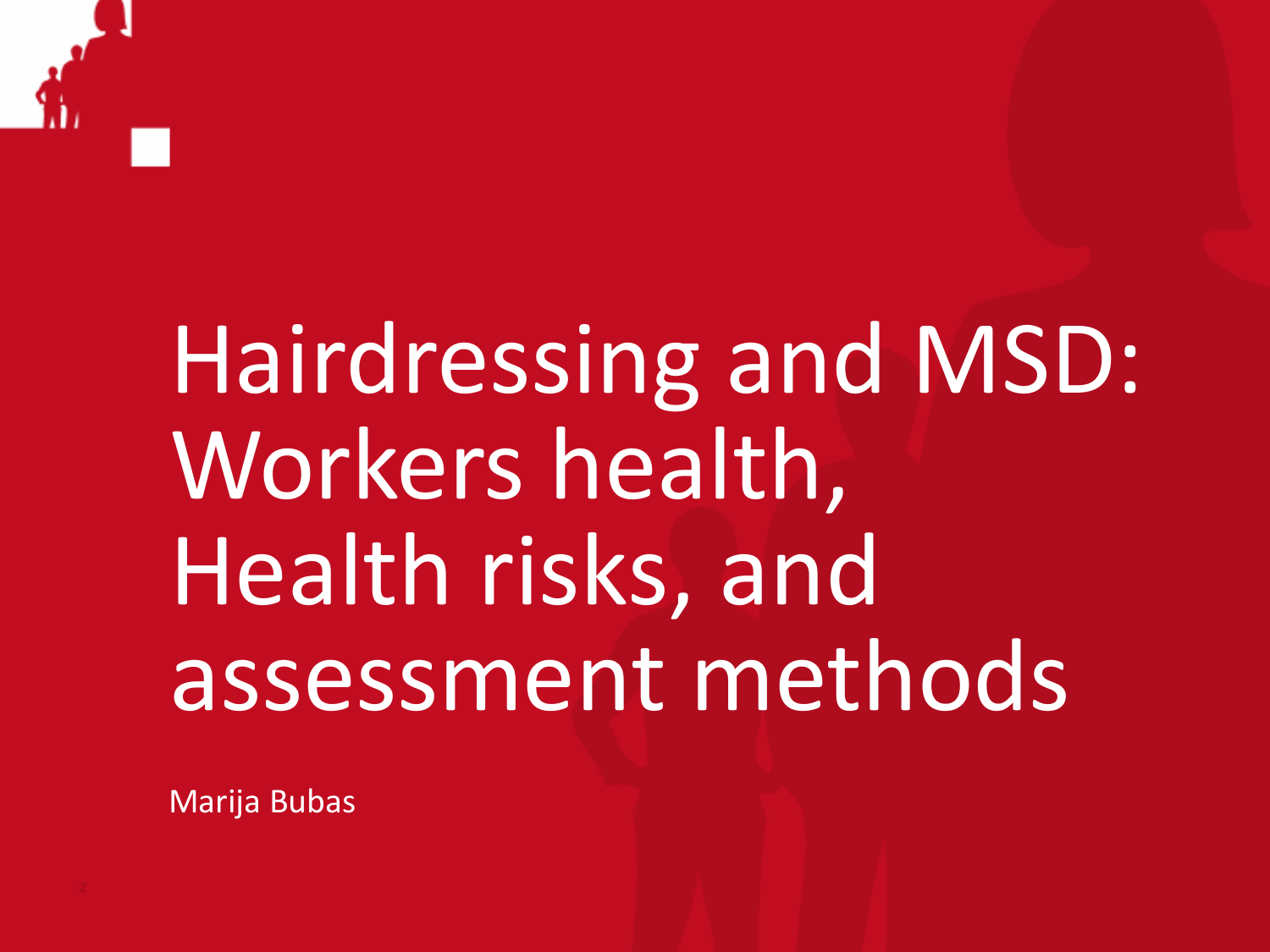

# Hairdressing and MSD: Workers health, Health risks, and assessment methods

Marija Bubas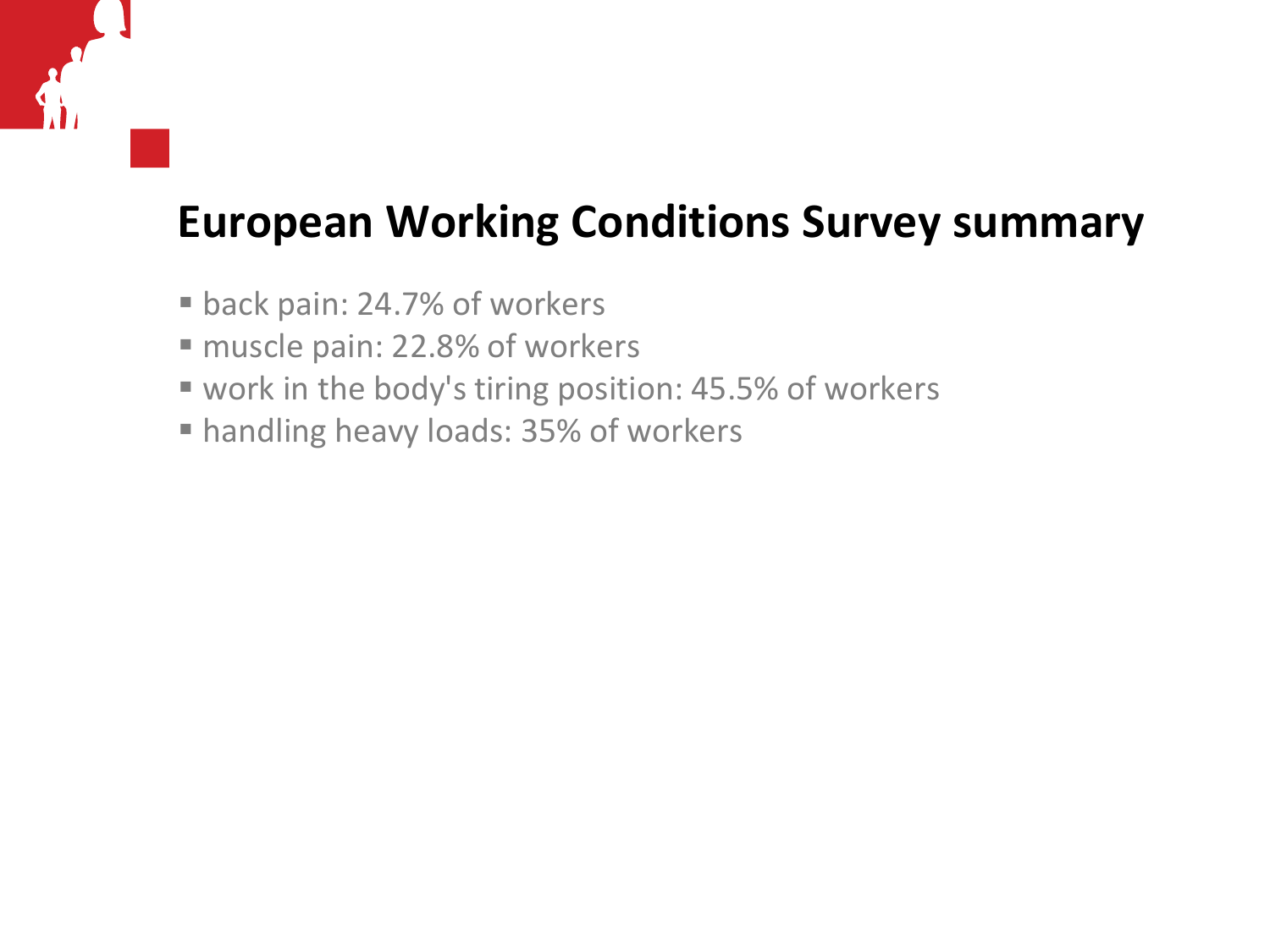#### **European Working Conditions Survey summary**

- back pain: 24.7% of workers
- muscle pain: 22.8% of workers
- work in the body's tiring position: 45.5% of workers
- **handling heavy loads: 35% of workers**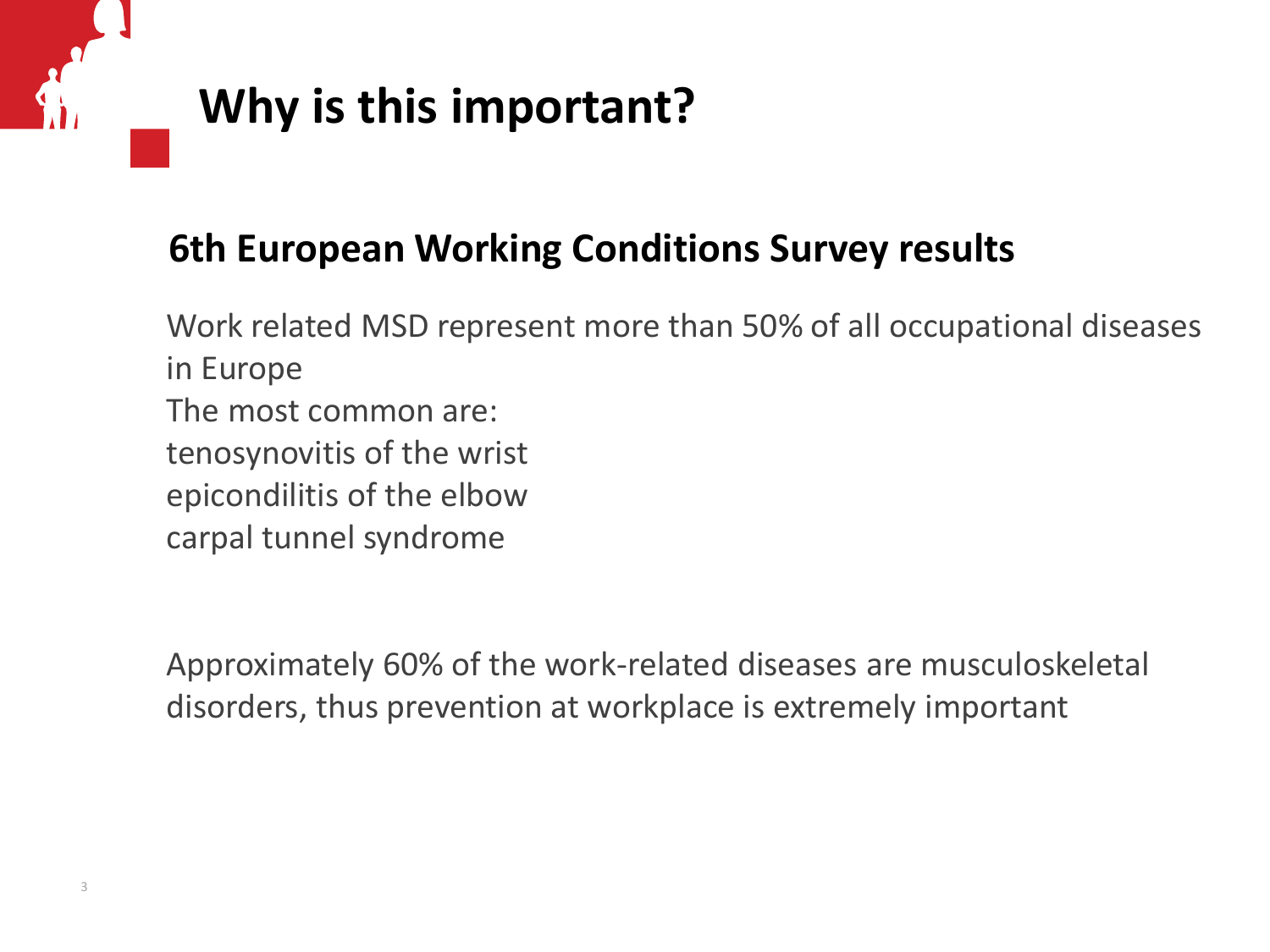### **Why is this important?**

#### **6th European Working Conditions Survey results**

Work related MSD represent more than 50% of all occupational diseases in Europe The most common are: tenosynovitis of the wrist epicondilitis of the elbow carpal tunnel syndrome

Approximately 60% of the work-related diseases are musculoskeletal disorders, thus prevention at workplace is extremely important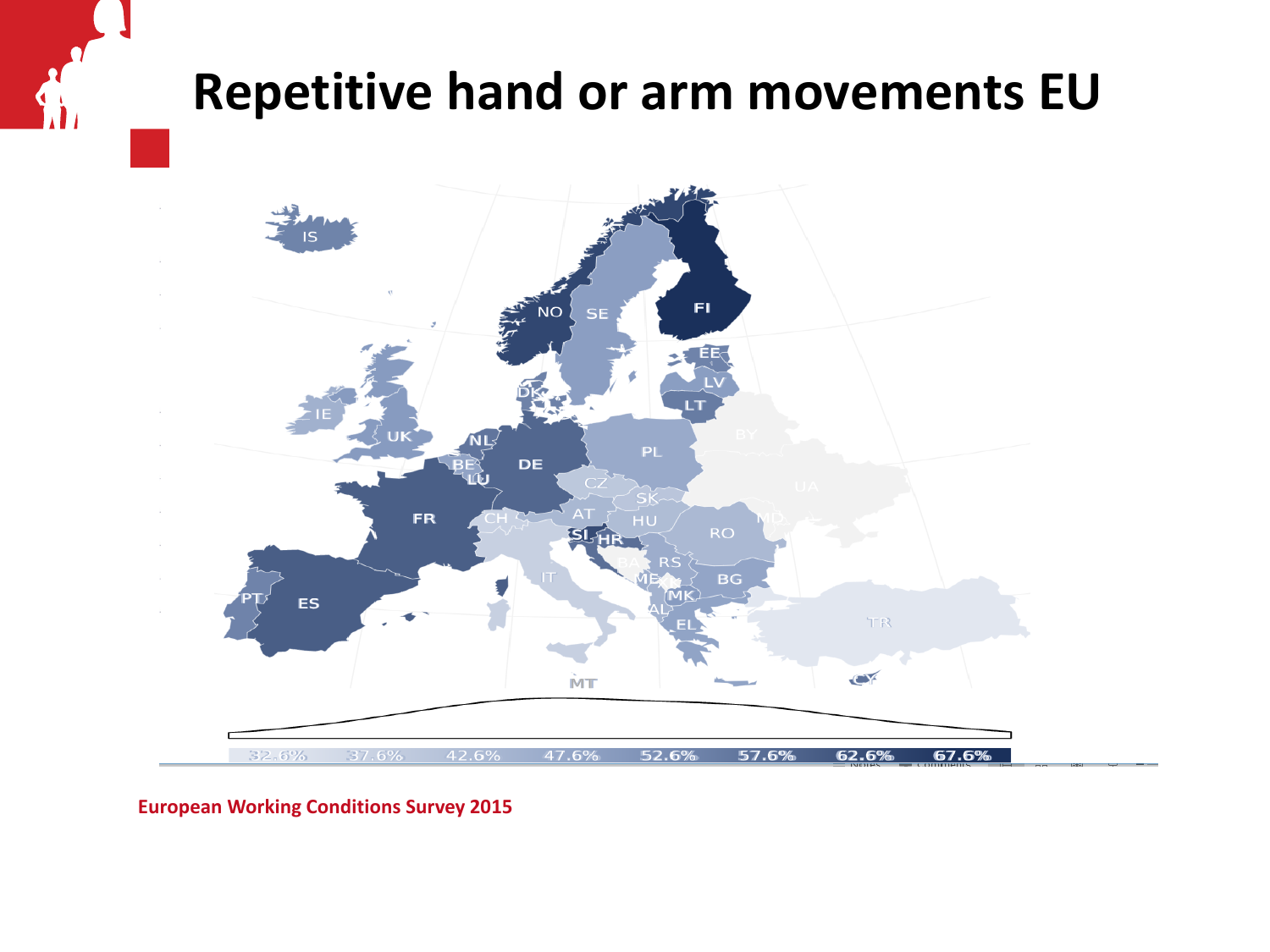# **Repetitive hand or arm movements EU**



**European Working Conditions Survey 2015**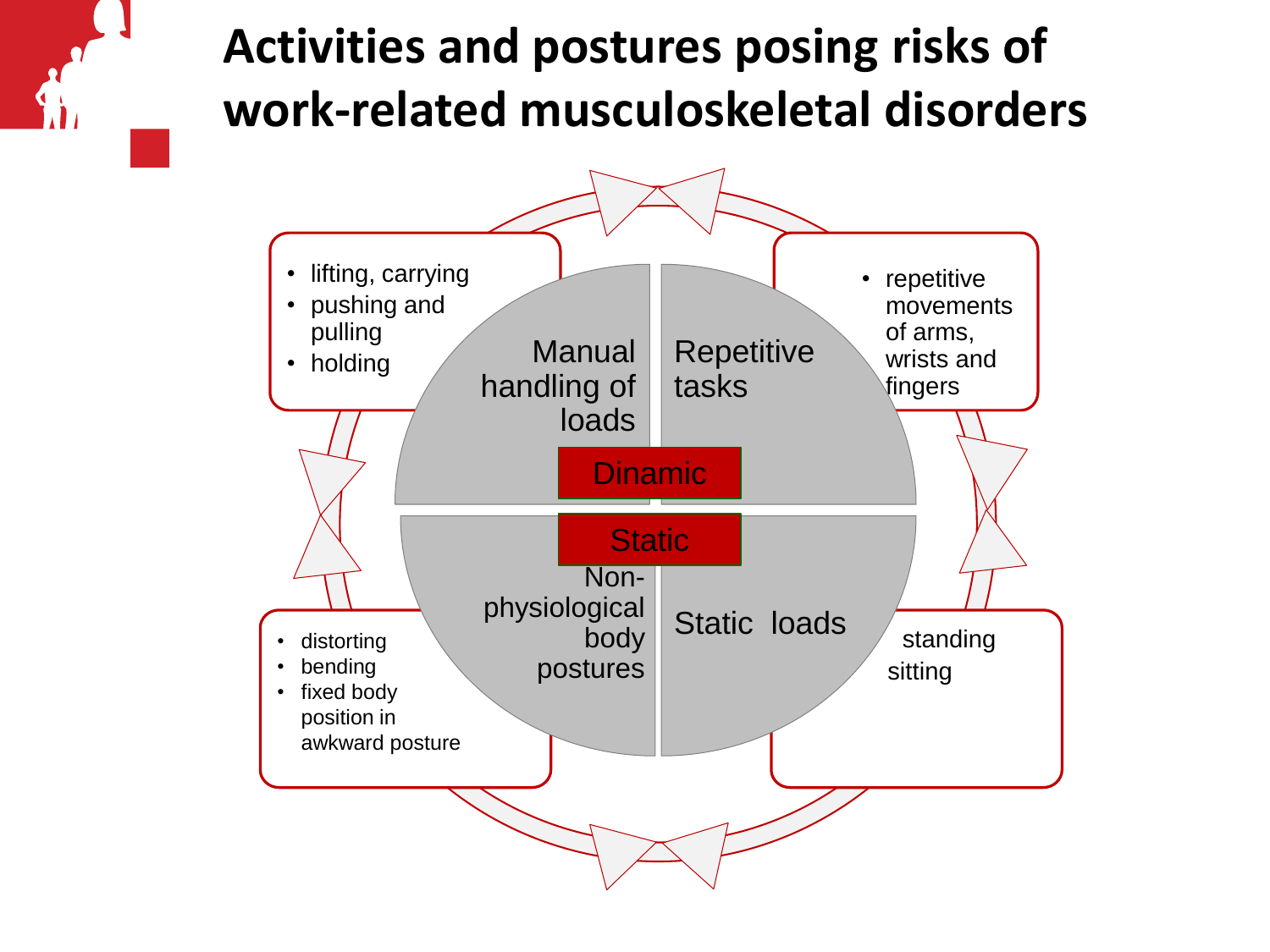### **Activities and postures posing risks of work-related musculoskeletal disorders**

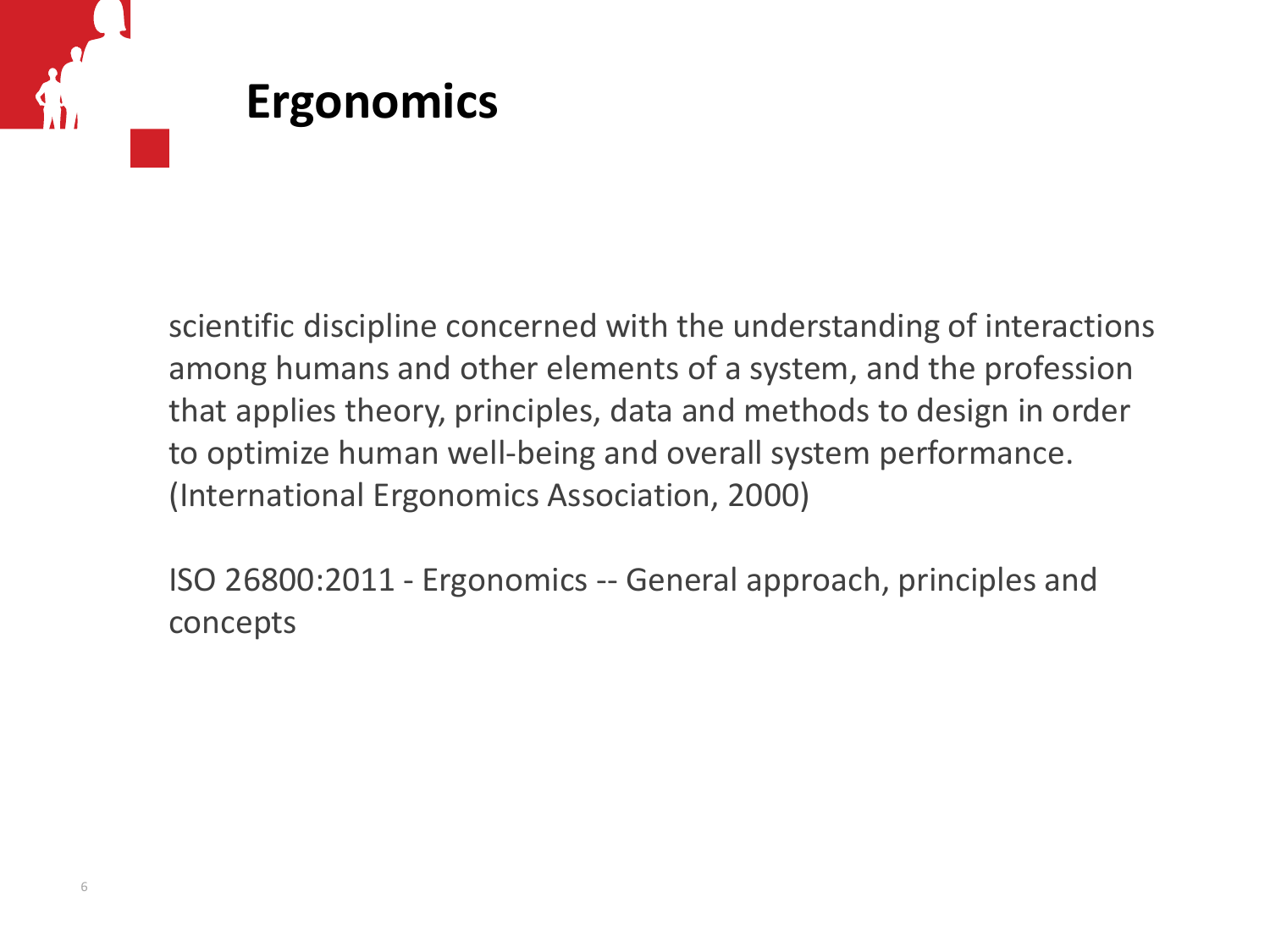# **Ergonomics**

scientific discipline concerned with the understanding of interactions among humans and other elements of a system, and the profession that applies theory, principles, data and methods to design in order to optimize human well-being and overall system performance. (International Ergonomics Association, 2000)

ISO 26800:2011 - Ergonomics -- General approach, principles and concepts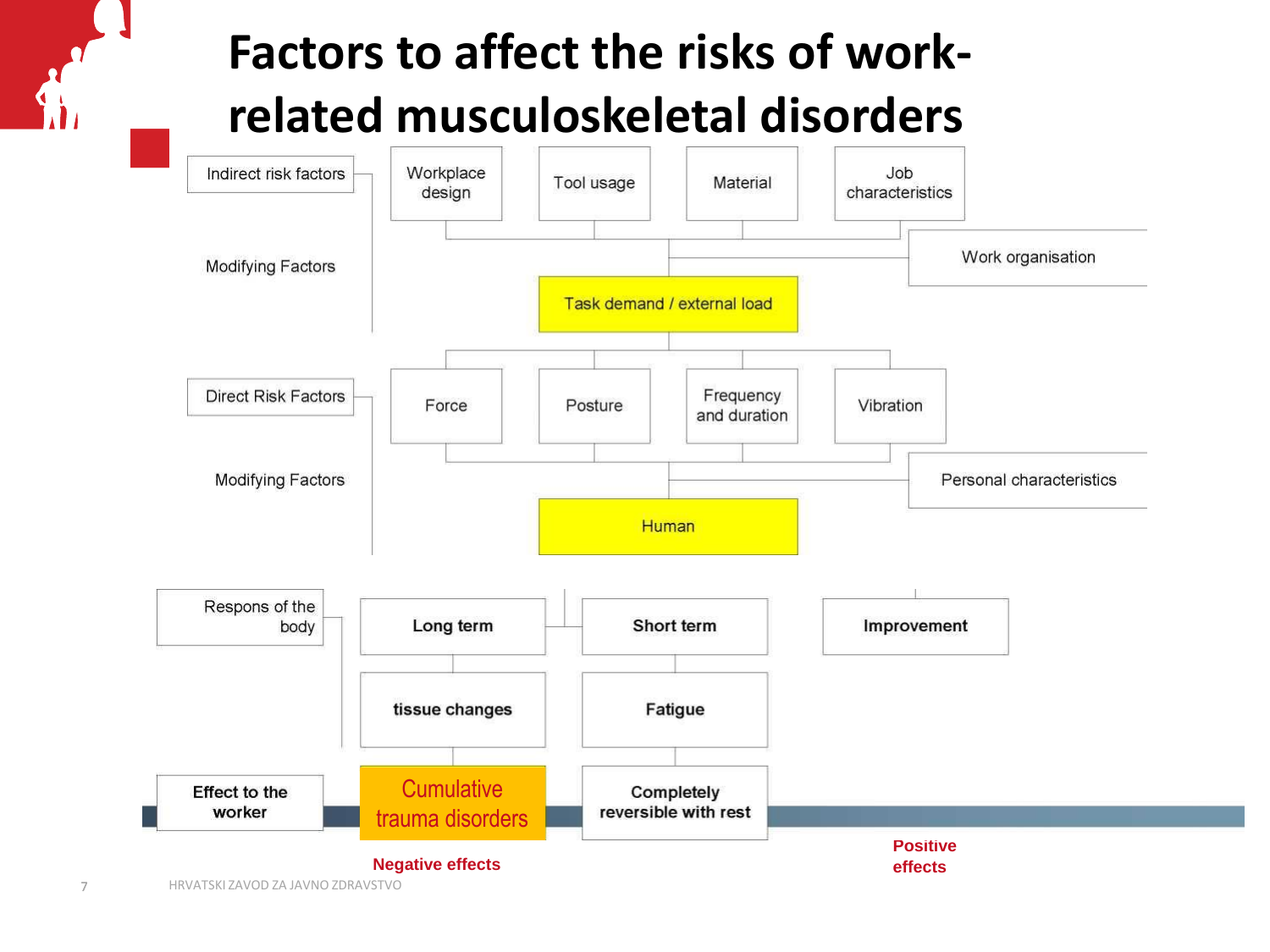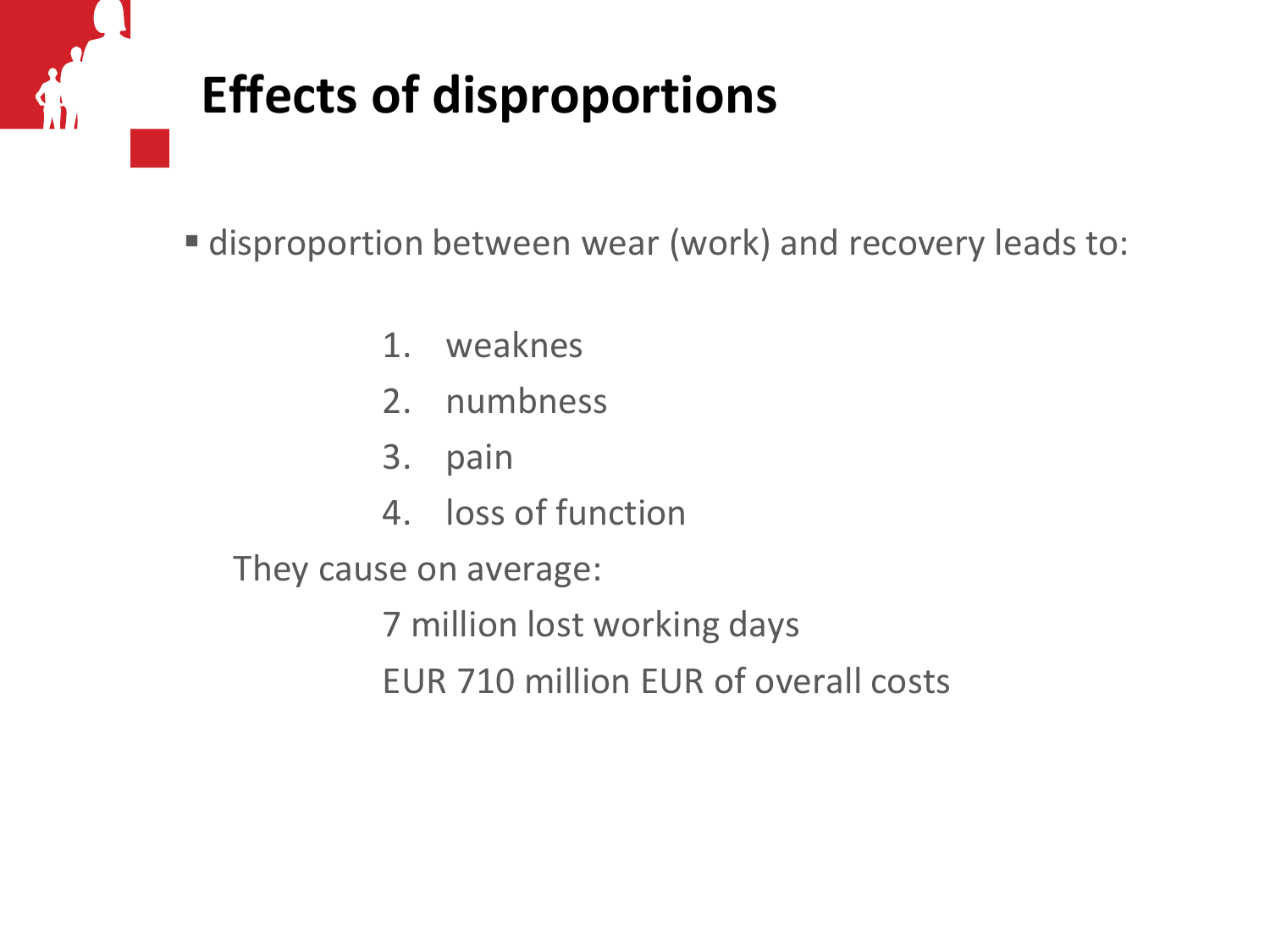# **Effects of disproportions**

disproportion between wear (work) and recovery leads to:

- 1. weaknes
- 2. numbness
- 3. pain
- 4. loss of function

They cause on average:

7 million lost working days EUR 710 million EUR of overall costs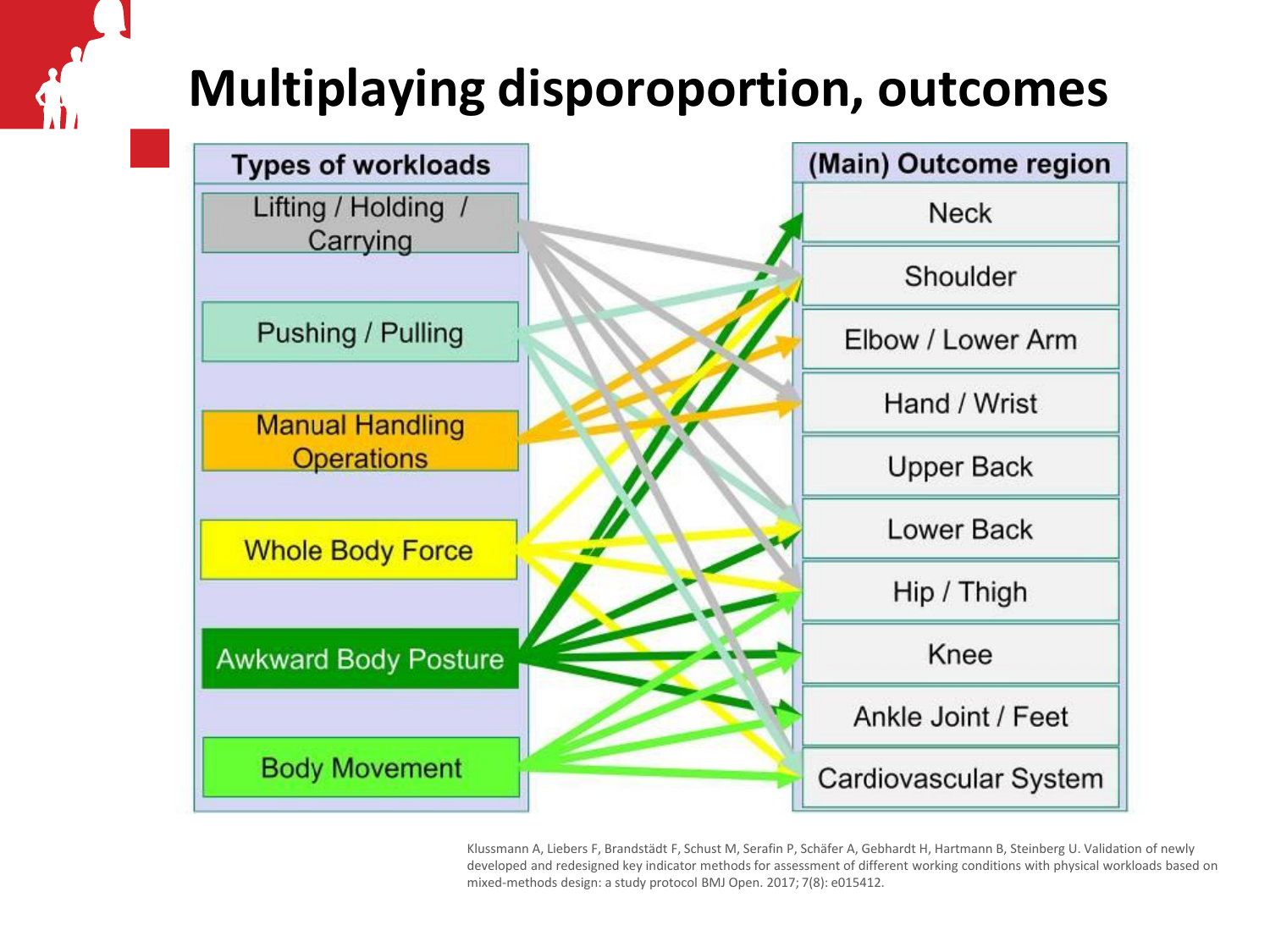# **Multiplaying disporoportion, outcomes**



Klussmann A, Liebers F, Brandstädt F, Schust M, Serafin P, Schäfer A, Gebhardt H, Hartmann B, Steinberg U. Validation of newly developed and redesigned key indicator methods for assessment of different working conditions with physical workloads based on mixed-methods design: a study protocol BMJ Open. 2017; 7(8): e015412.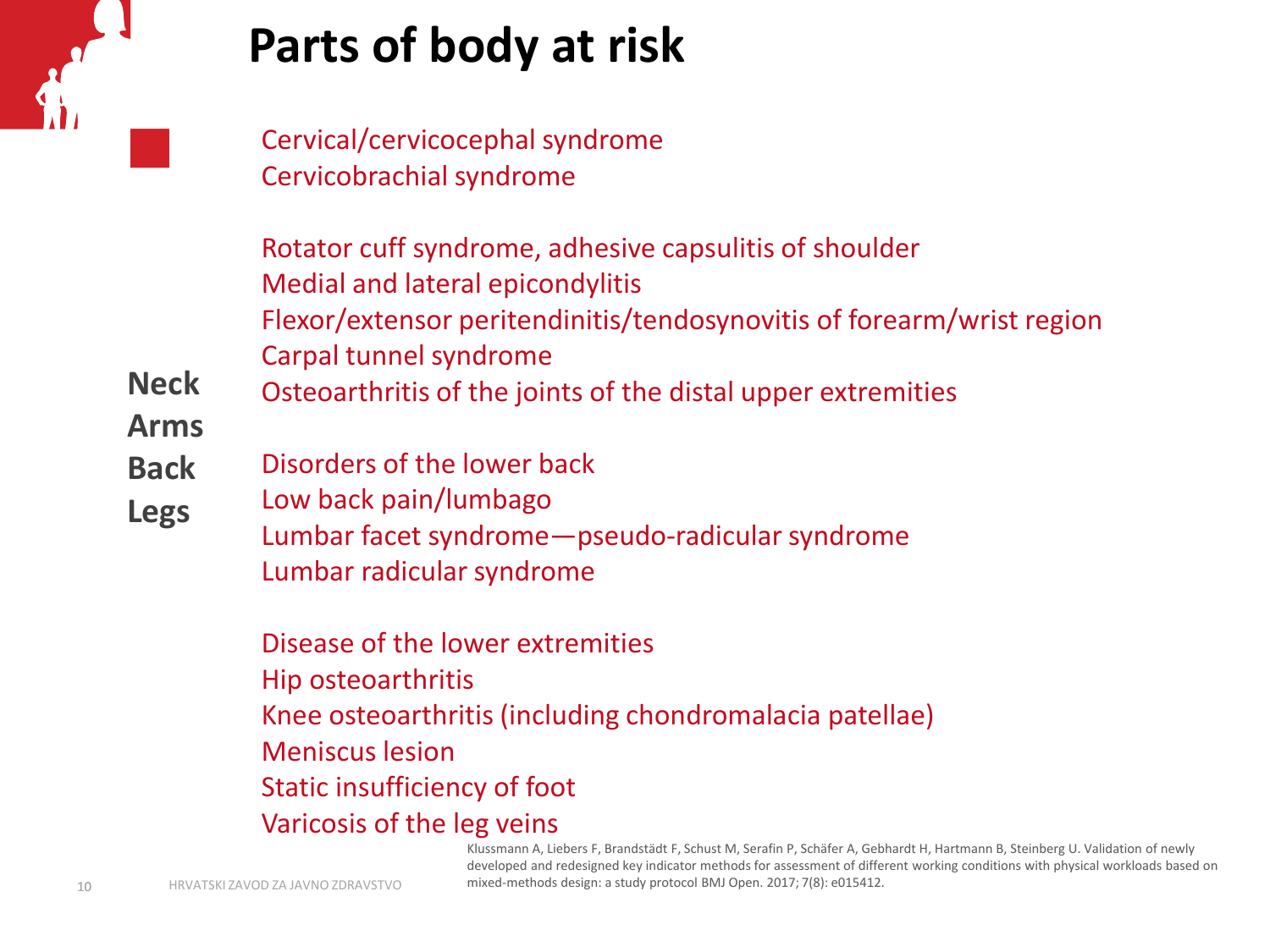

#### **Parts of body at risk**

Cervical/cervicocephal syndrome Cervicobrachial syndrome

Rotator cuff syndrome, adhesive capsulitis of shoulder Medial and lateral epicondylitis Flexor/extensor peritendinitis/tendosynovitis of forearm/wrist region Carpal tunnel syndrome

**Neck** Osteoarthritis of the joints of the distal upper extremities

**Arms**

- **Back** Disorders of the lower back
- **Legs** Low back pain/lumbago

Lumbar facet syndrome—pseudo-radicular syndrome Lumbar radicular syndrome

Disease of the lower extremities Hip osteoarthritis Knee osteoarthritis (including chondromalacia patellae) Meniscus lesion Static insufficiency of foot Varicosis of the leg veins

> Klussmann A, Liebers F, Brandstädt F, Schust M, Serafin P, Schäfer A, Gebhardt H, Hartmann B, Steinberg U. Validation of newly developed and redesigned key indicator methods for assessment of different working conditions with physical workloads based on mixed-methods design: a study protocol BMJ Open. 2017; 7(8): e015412.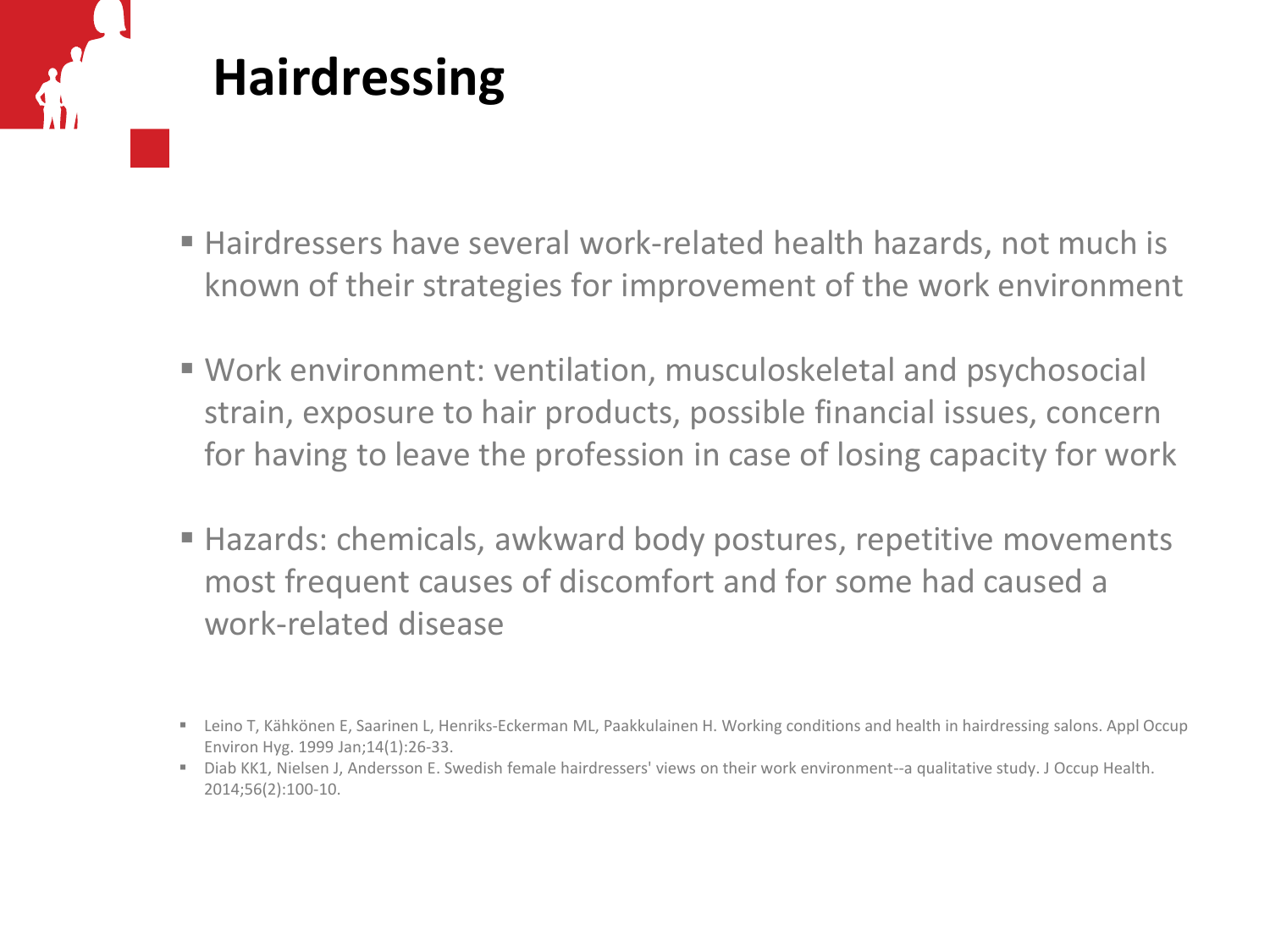# **Hairdressing**

- Hairdressers have several work-related health hazards, not much is known of their strategies for improvement of the work environment
- Work environment: ventilation, musculoskeletal and psychosocial strain, exposure to hair products, possible financial issues, concern for having to leave the profession in case of losing capacity for work
- Hazards: chemicals, awkward body postures, repetitive movements most frequent causes of discomfort and for some had caused a work-related disease

Leino T, Kähkönen E, Saarinen L, Henriks-Eckerman ML, Paakkulainen H. Working conditions and health in hairdressing salons. Appl Occup Environ Hyg. 1999 Jan;14(1):26-33.

Diab KK1, Nielsen J, Andersson E. Swedish female hairdressers' views on their work environment--a qualitative study. J Occup Health. 2014;56(2):100-10.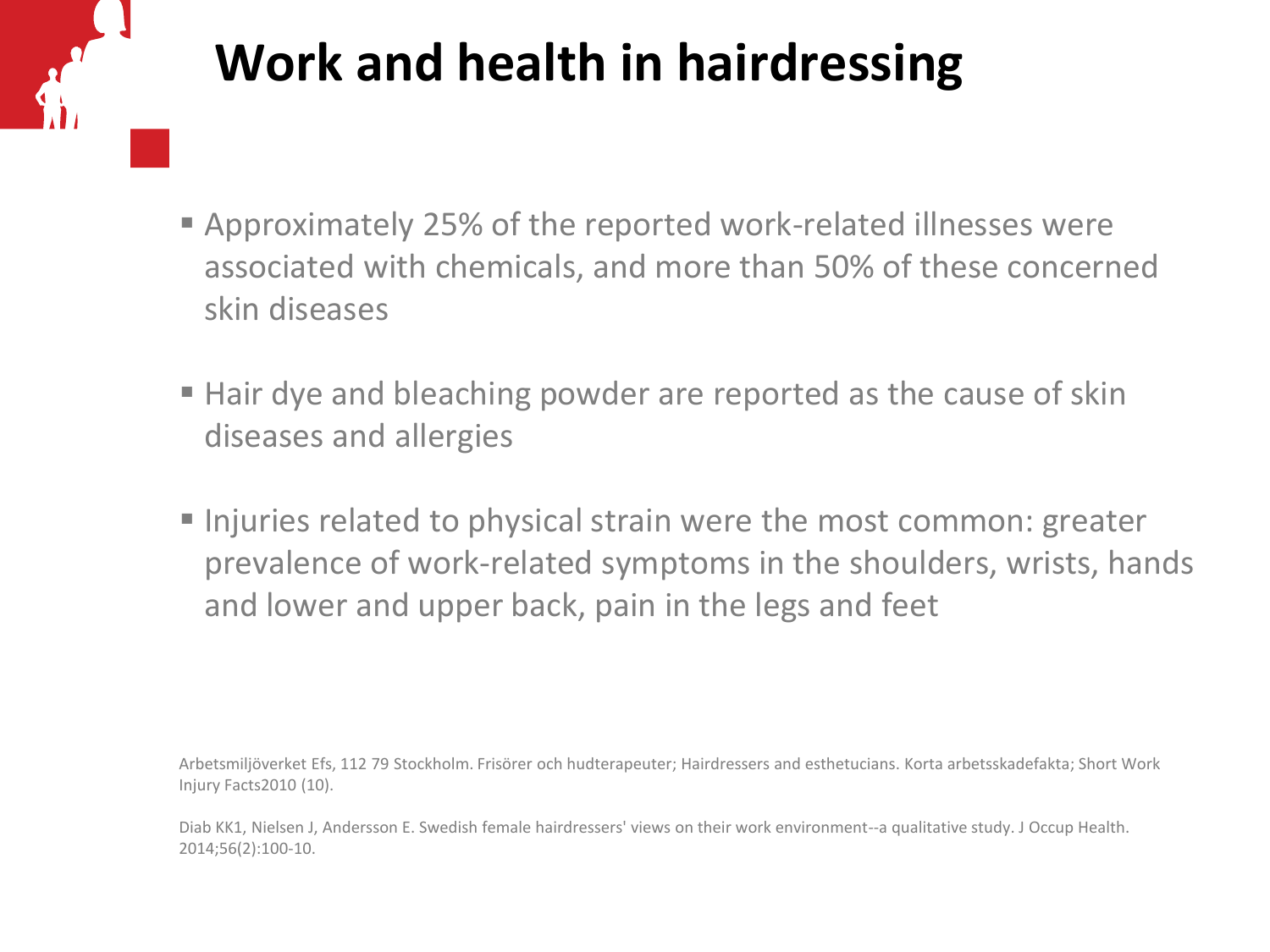# **Work and health in hairdressing**

- Approximately 25% of the reported work-related illnesses were associated with chemicals, and more than 50% of these concerned skin diseases
- Hair dye and bleaching powder are reported as the cause of skin diseases and allergies
- I Injuries related to physical strain were the most common: greater prevalence of work-related symptoms in the shoulders, wrists, hands and lower and upper back, pain in the legs and feet

Arbetsmiljöverket Efs, 112 79 Stockholm. Frisörer och hudterapeuter; Hairdressers and esthetucians. Korta arbetsskadefakta; Short Work Injury Facts2010 (10).

Diab KK1, Nielsen J, Andersson E. Swedish female hairdressers' views on their work environment--a qualitative study. J Occup Health. 2014;56(2):100-10.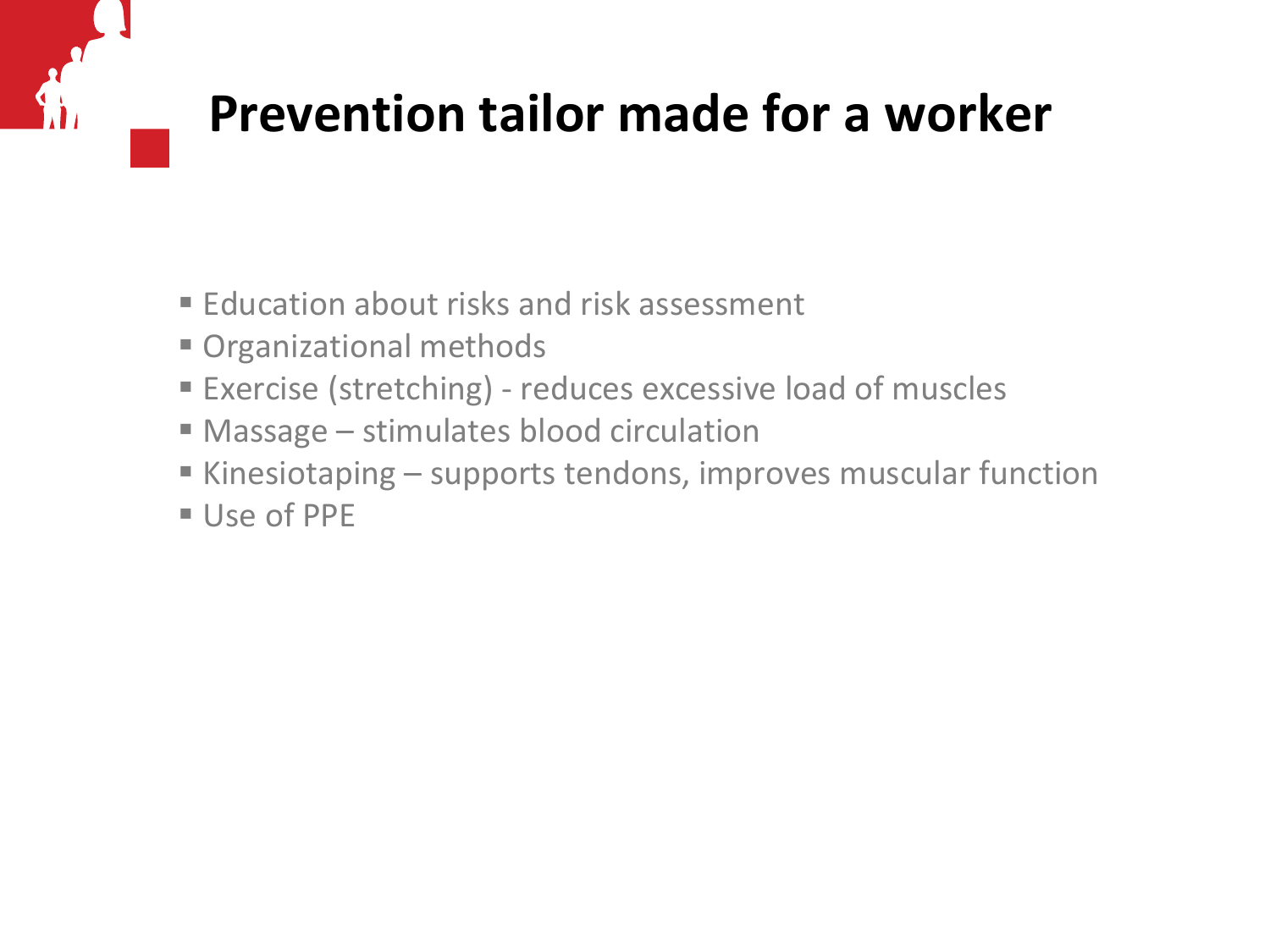### **Prevention tailor made for a worker**

- **Education about risks and risk assessment**
- Organizational methods
- Exercise (stretching) reduces excessive load of muscles
- Massage stimulates blood circulation
- Kinesiotaping supports tendons, improves muscular function
- Use of PPE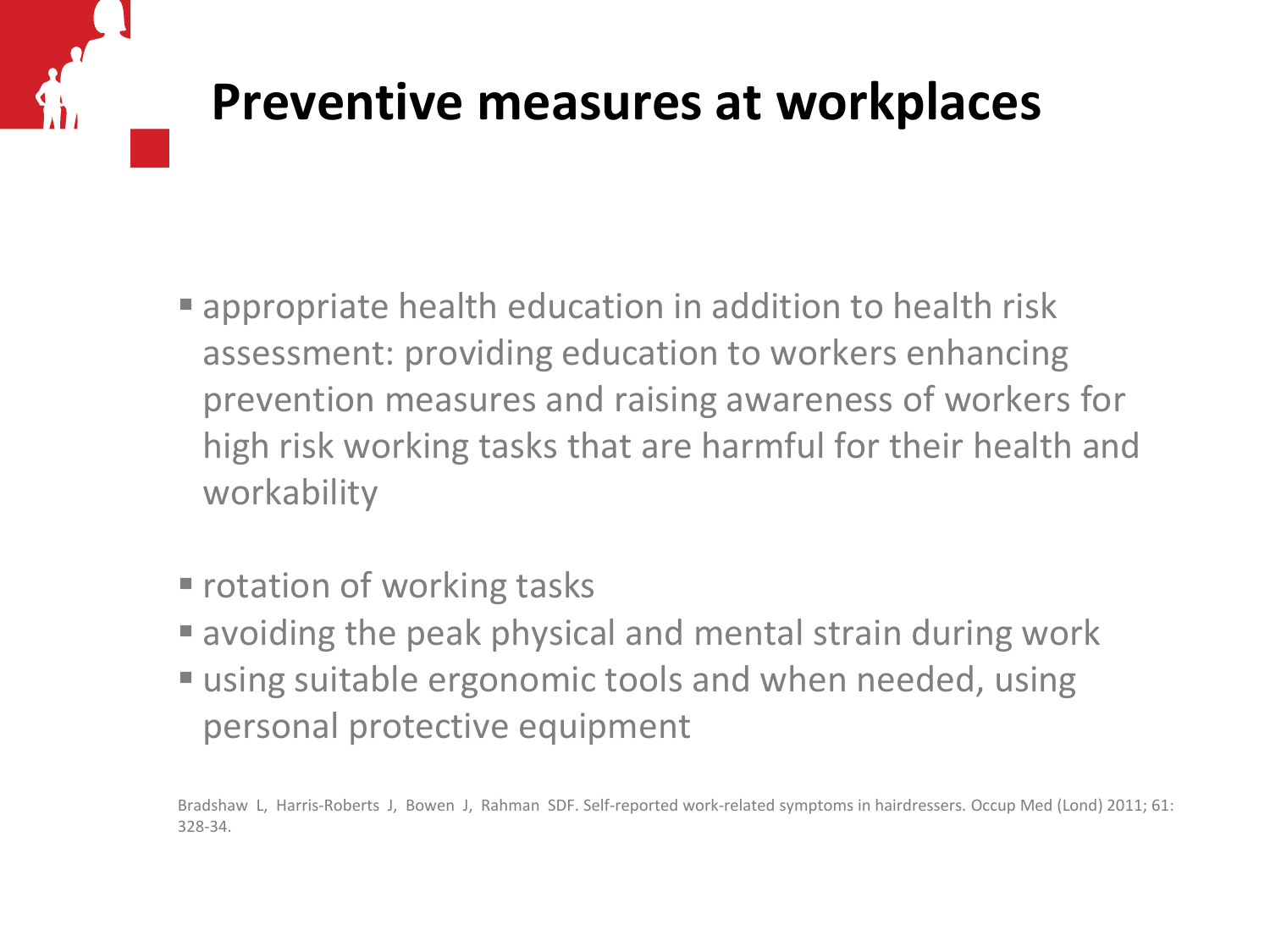#### **Preventive measures at workplaces**

- **Example 2** appropriate health education in addition to health risk assessment: providing education to workers enhancing prevention measures and raising awareness of workers for high risk working tasks that are harmful for their health and workability
- **F** rotation of working tasks
- avoiding the peak physical and mental strain during work
- using suitable ergonomic tools and when needed, using personal protective equipment

Bradshaw L, Harris-Roberts J, Bowen J, Rahman SDF. Self-reported work-related symptoms in hairdressers. Occup Med (Lond) 2011; 61: 328-34.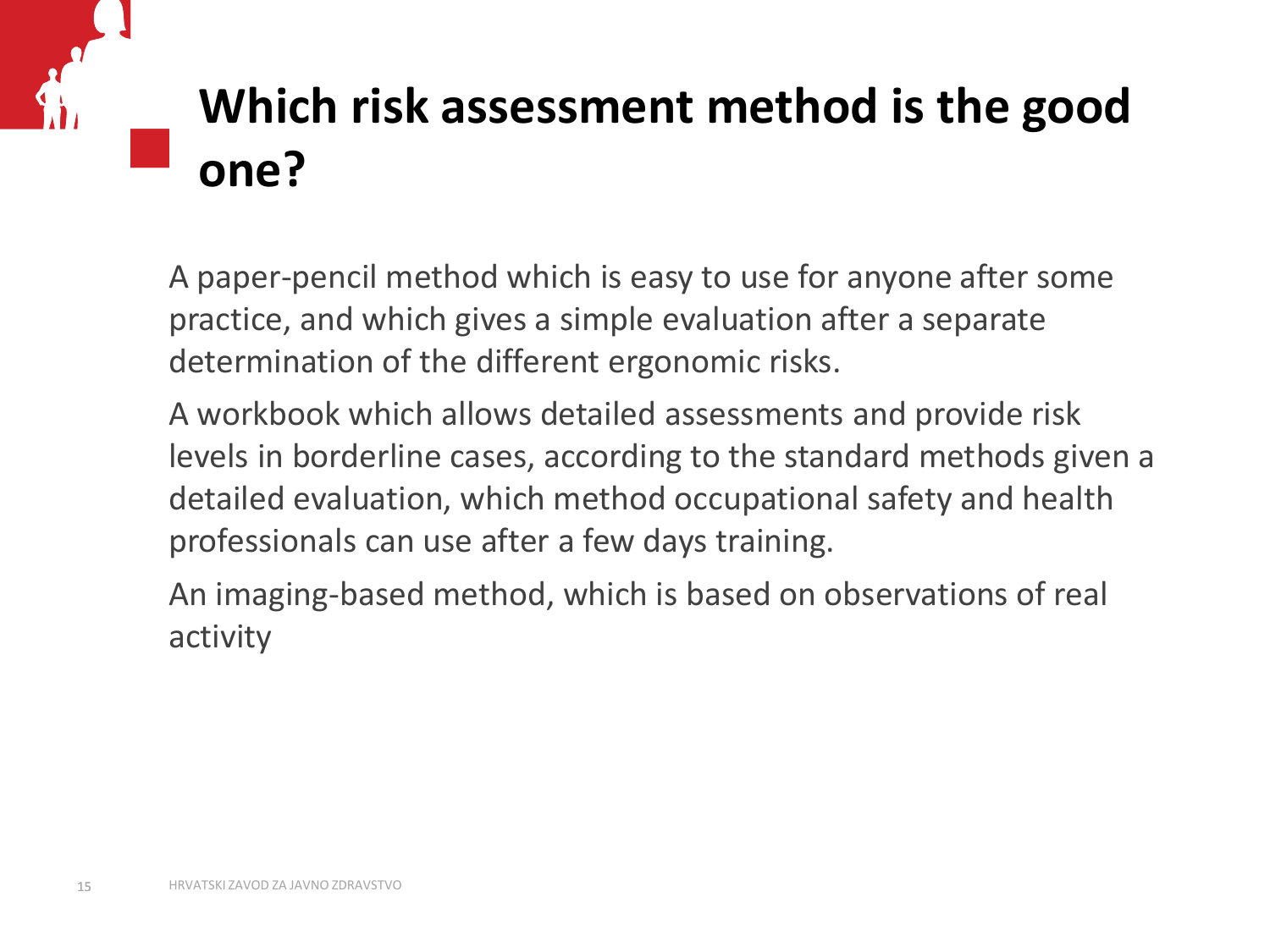# **Which risk assessment method is the good one?**

A paper-pencil method which is easy to use for anyone after some practice, and which gives a simple evaluation after a separate determination of the different ergonomic risks.

A workbook which allows detailed assessments and provide risk levels in borderline cases, according to the standard methods given a detailed evaluation, which method occupational safety and health professionals can use after a few days training.

An imaging-based method, which is based on observations of real activity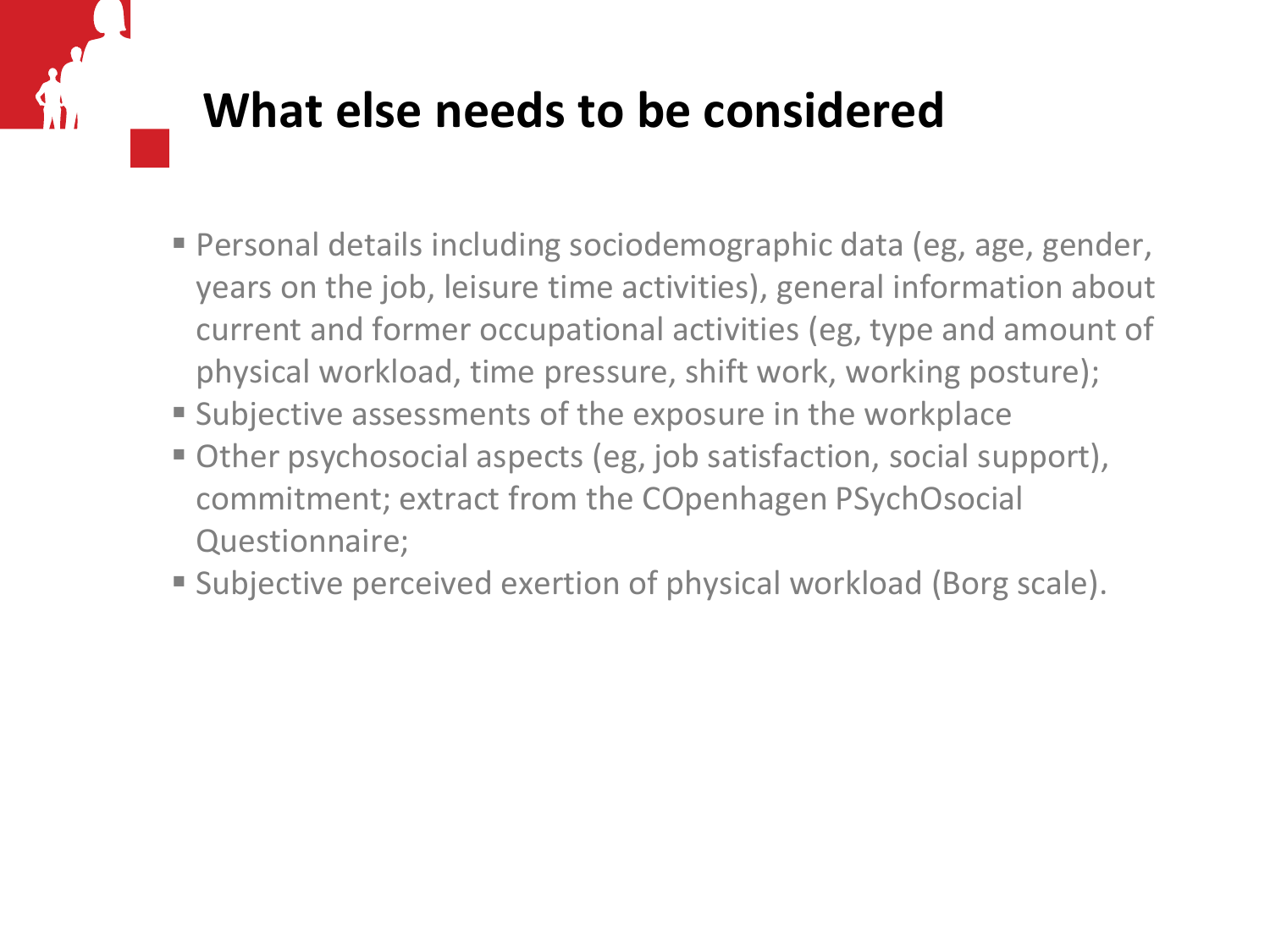#### **What else needs to be considered**

- Personal details including sociodemographic data (eg, age, gender, years on the job, leisure time activities), general information about current and former occupational activities (eg, type and amount of physical workload, time pressure, shift work, working posture);
- **Subjective assessments of the exposure in the workplace**
- Other psychosocial aspects (eg, job satisfaction, social support), commitment; extract from the COpenhagen PSychOsocial Questionnaire;
- Subjective perceived exertion of physical workload (Borg scale).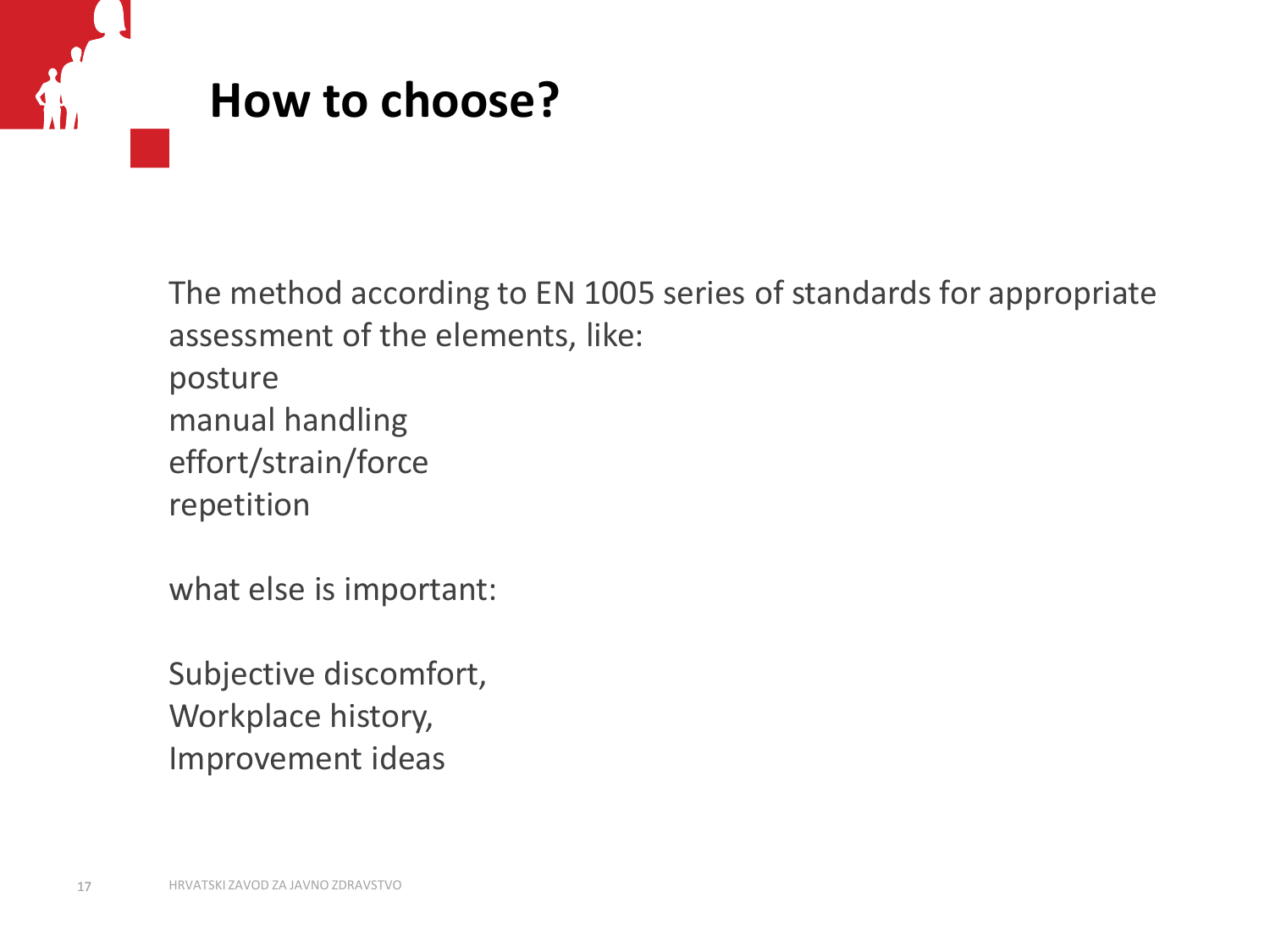

The method according to EN 1005 series of standards for appropriate assessment of the elements, like: posture manual handling effort/strain/force repetition

what else is important:

Subjective discomfort, Workplace history, Improvement ideas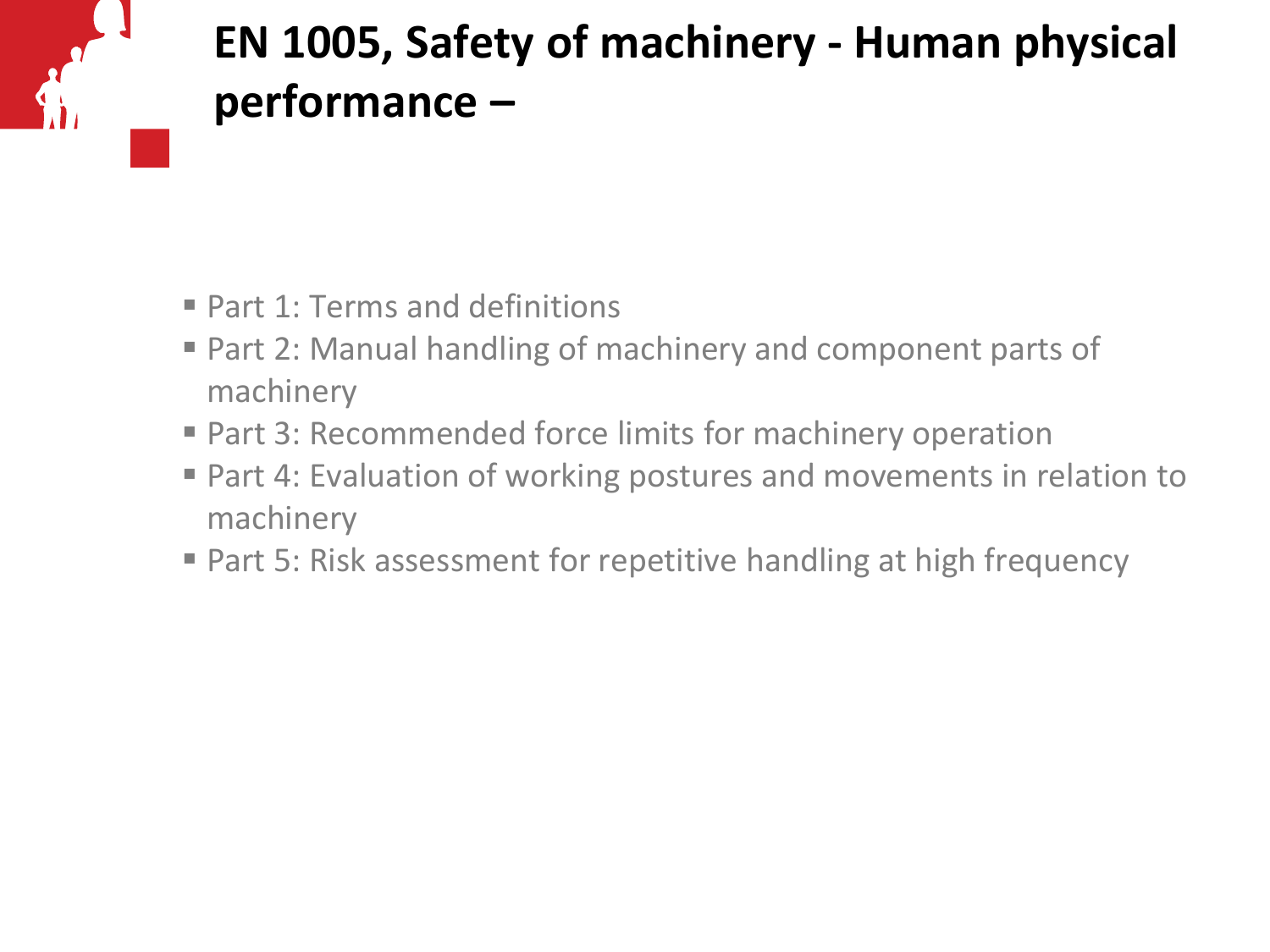

#### **EN 1005, Safety of machinery - Human physical performance –**

- Part 1: Terms and definitions
- Part 2: Manual handling of machinery and component parts of machinery
- Part 3: Recommended force limits for machinery operation
- Part 4: Evaluation of working postures and movements in relation to machinery
- Part 5: Risk assessment for repetitive handling at high frequency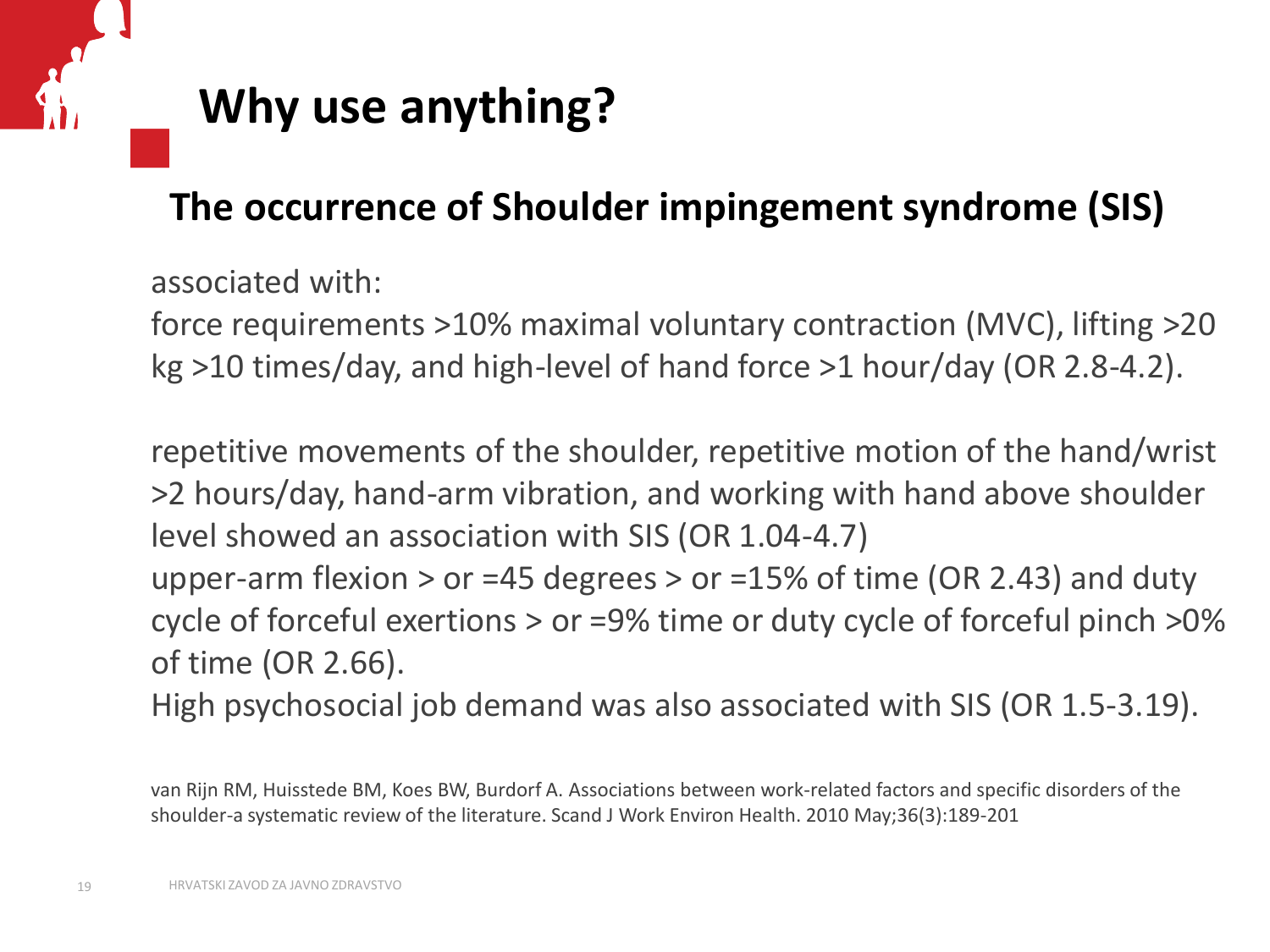#### **Why use anything?**

#### **The occurrence of Shoulder impingement syndrome (SIS)**

associated with:

force requirements >10% maximal voluntary contraction (MVC), lifting >20 kg >10 times/day, and high-level of hand force >1 hour/day (OR 2.8-4.2).

repetitive movements of the shoulder, repetitive motion of the hand/wrist >2 hours/day, hand-arm vibration, and working with hand above shoulder level showed an association with SIS (OR 1.04-4.7)

upper-arm flexion  $>$  or =45 degrees  $>$  or =15% of time (OR 2.43) and duty cycle of forceful exertions > or =9% time or duty cycle of forceful pinch >0% of time (OR 2.66).

High psychosocial job demand was also associated with SIS (OR 1.5-3.19).

van Rijn RM, Huisstede BM, Koes BW, Burdorf A. Associations between work-related factors and specific disorders of the shoulder-a systematic review of the literature. Scand J Work Environ Health. 2010 May;36(3):189-201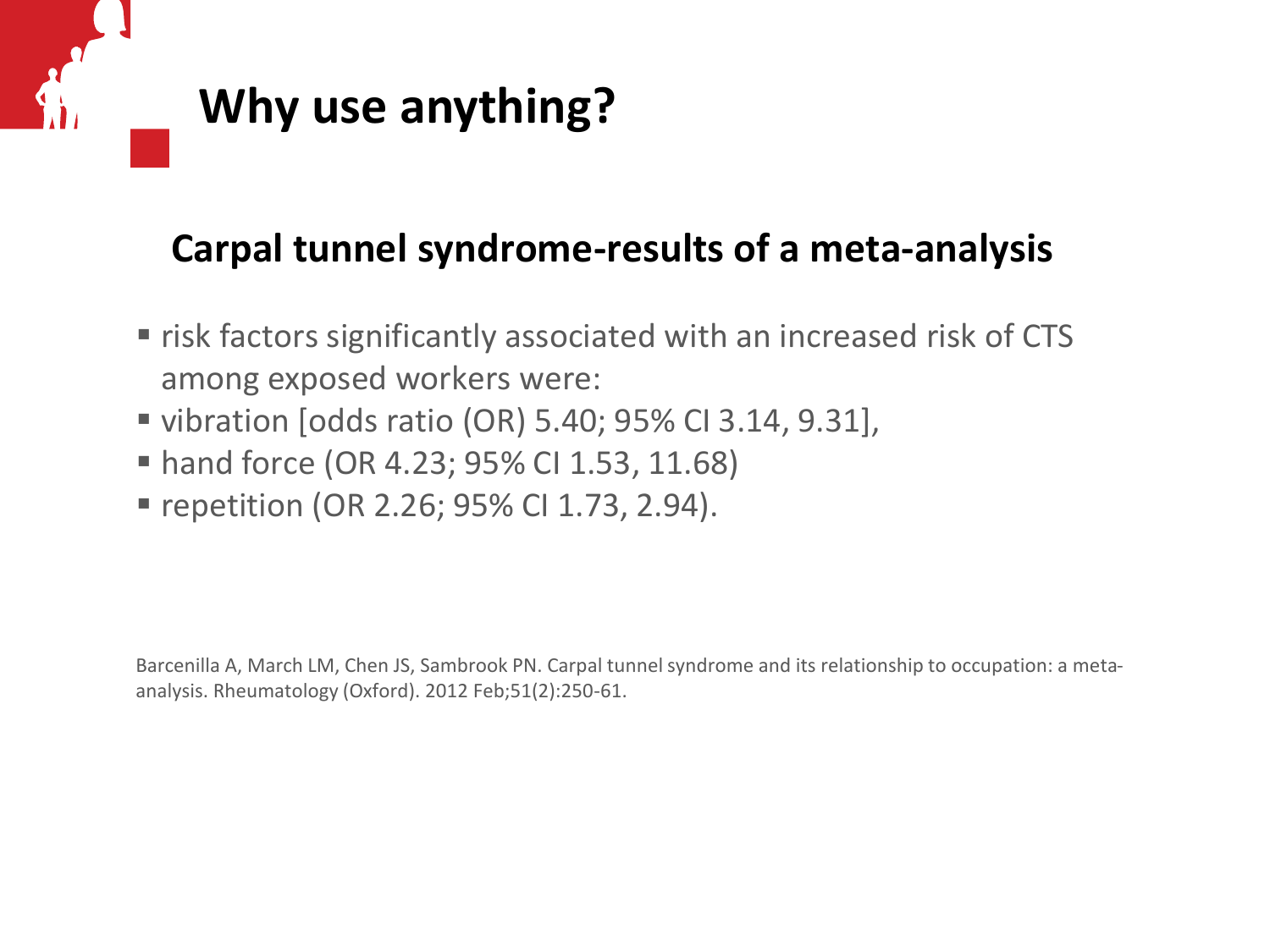

#### **Carpal tunnel syndrome-results of a meta-analysis**

- **F** risk factors significantly associated with an increased risk of CTS among exposed workers were:
- vibration [odds ratio (OR) 5.40; 95% CI 3.14, 9.31],
- hand force (OR 4.23; 95% CI 1.53, 11.68)
- repetition (OR 2.26; 95% CI 1.73, 2.94).

Barcenilla A, March LM, Chen JS, Sambrook PN. Carpal tunnel syndrome and its relationship to occupation: a metaanalysis. Rheumatology (Oxford). 2012 Feb;51(2):250-61.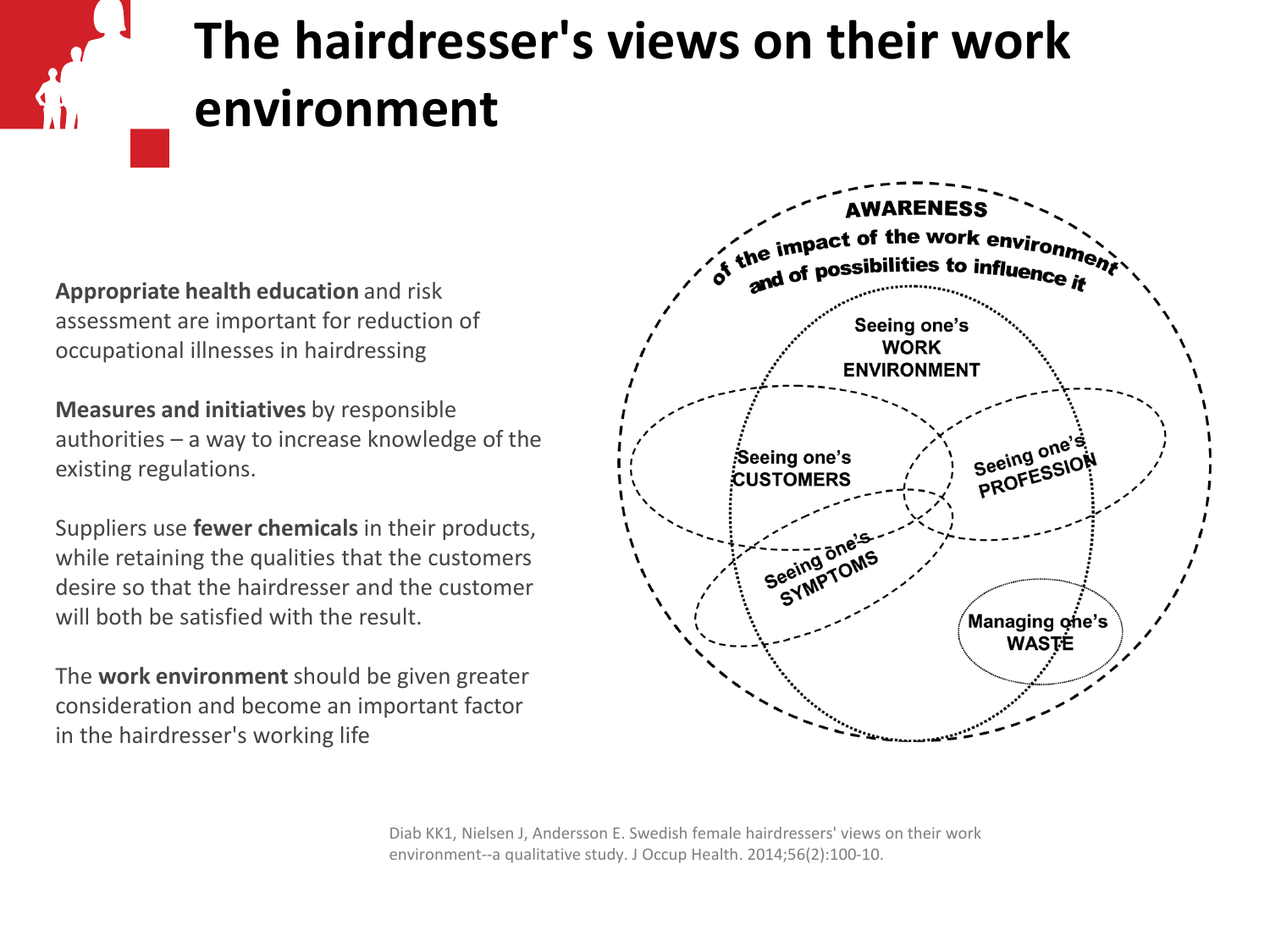# **The hairdresser's views on their work environment**

**Appropriate health education** and risk assessment are important for reduction of occupational illnesses in hairdressing

**Measures and initiatives** by responsible authorities – a way to increase knowledge of the existing regulations.

Suppliers use **fewer chemicals** in their products, while retaining the qualities that the customers desire so that the hairdresser and the customer will both be satisfied with the result.

The **work environment** should be given greater consideration and become an important factor in the hairdresser's working life



Diab KK1, Nielsen J, Andersson E. Swedish female hairdressers' views on their work environment--a qualitative study. J Occup Health. 2014;56(2):100-10.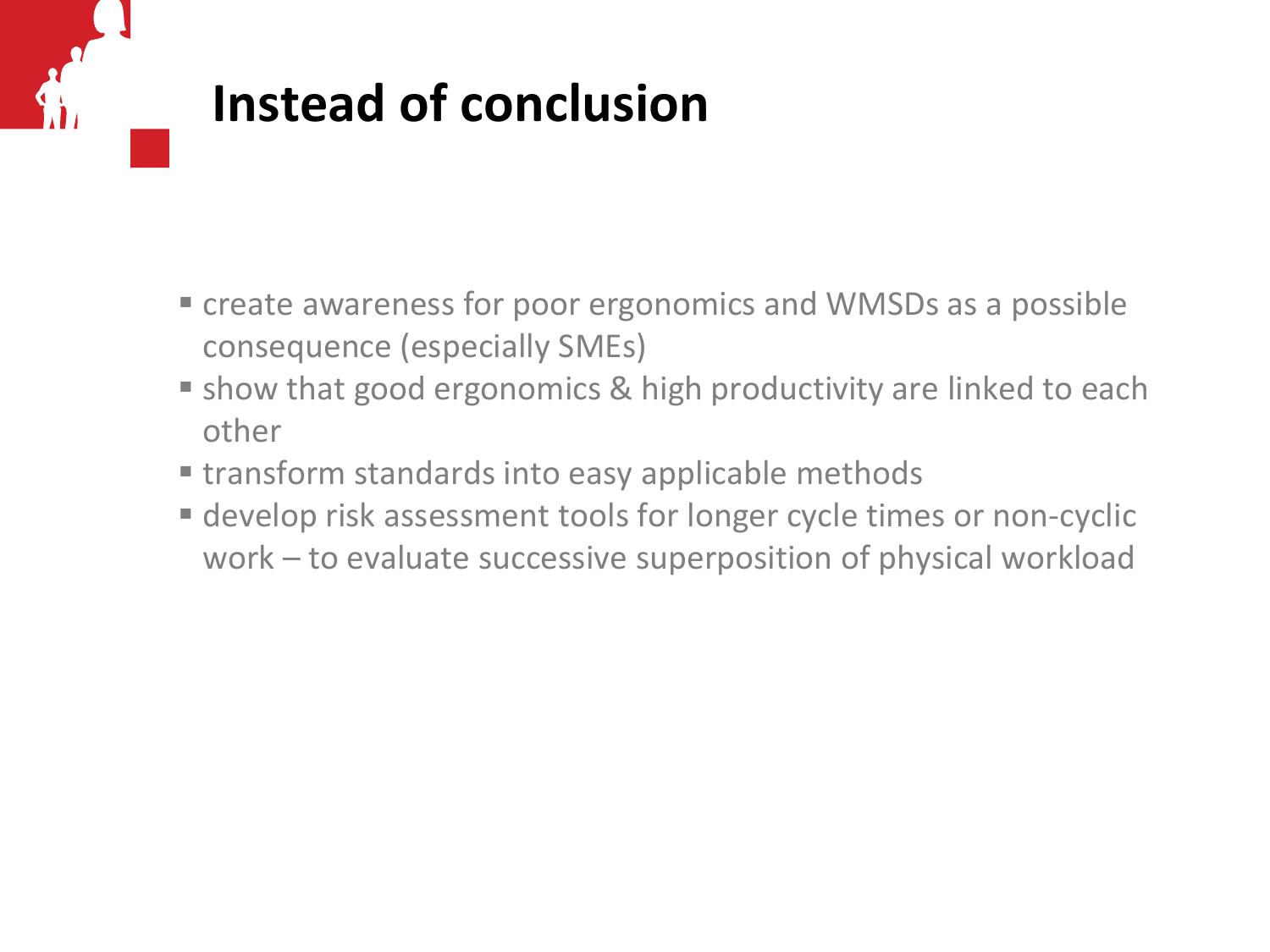# **Instead of conclusion**

- **Example 2** create awareness for poor ergonomics and WMSDs as a possible consequence (especially SMEs)
- **Show that good ergonomics & high productivity are linked to each** other
- **Extrachmedards into easy applicable methods**
- develop risk assessment tools for longer cycle times or non-cyclic work – to evaluate successive superposition of physical workload